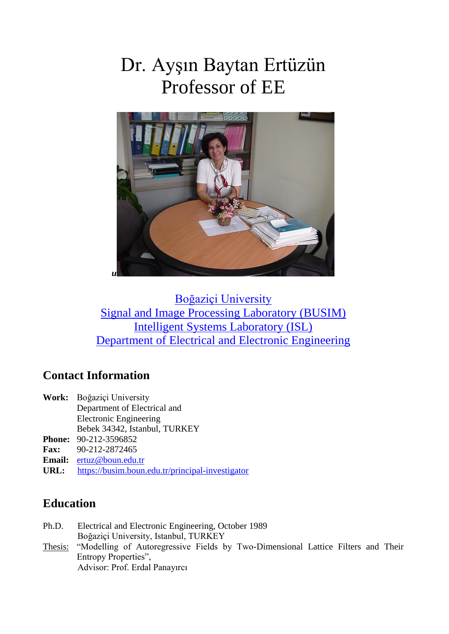# Dr. Ayşın Baytan Ertüzün Professor of EE



[Boğaziçi University](http://www.boun.edu.tr/)  [Signal and Image Processing Laboratory \(BUSIM\)](http://www.busim.ee.boun.edu.tr/)  [Intelligent Systems Laboratory \(ISL\)](http://www.isl.ee.boun.edu.tr/)  [Department of Electrical and Electronic Engineering](http://www.ee.boun.edu.tr/)

# **Contact Information**

- **Work:** Boğaziçi University Department of Electrical and Electronic Engineering Bebek 34342, Istanbul, TURKEY
- **Phone:** 90-212-3596852
- **Fax:** 90-212-2872465
- **Email:** [ertuz@boun.edu.tr](mailto:ertuz@boun.edu.tr)
- **URL:** <https://busim.boun.edu.tr/principal-investigator>

### **Education**

Ph.D. Electrical and Electronic Engineering, October 1989 Boğaziçi University, Istanbul, TURKEY Thesis: "Modelling of Autoregressive Fields by Two-Dimensional Lattice Filters and Their Entropy Properties", Advisor: Prof. Erdal Panayırcı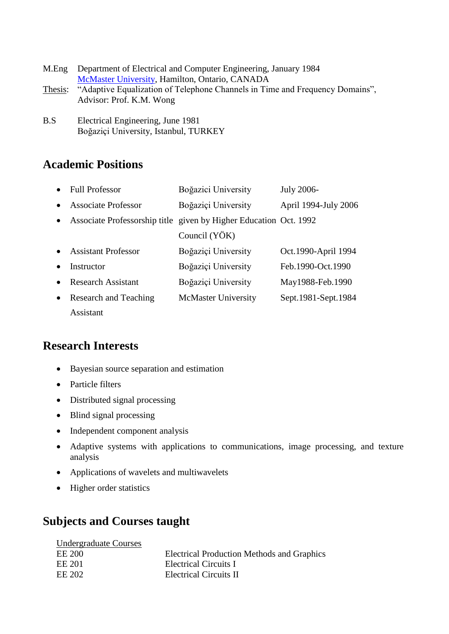| M.Eng   | Department of Electrical and Computer Engineering, January 1984              |
|---------|------------------------------------------------------------------------------|
|         | McMaster University, Hamilton, Ontario, CANADA                               |
| Thesis: | "Adaptive Equalization of Telephone Channels in Time and Frequency Domains", |
|         | Advisor: Prof. K.M. Wong                                                     |
|         |                                                                              |

B.S Electrical Engineering, June 1981 Boğaziçi University, Istanbul, TURKEY

# **Academic Positions**

|           | <b>Full Professor</b>                                             | Boğazici University        | July 2006-           |
|-----------|-------------------------------------------------------------------|----------------------------|----------------------|
|           | <b>Associate Professor</b>                                        | Boğaziçi University        | April 1994-July 2006 |
| $\bullet$ | Associate Professorship title given by Higher Education Oct. 1992 |                            |                      |
|           |                                                                   | Council (YÖK)              |                      |
|           | <b>Assistant Professor</b>                                        | Boğaziçi University        | Oct.1990-April 1994  |
|           | Instructor                                                        | Boğaziçi University        | Feb.1990-Oct.1990    |
|           | <b>Research Assistant</b>                                         | Boğaziçi University        | May1988-Feb.1990     |
| $\bullet$ | Research and Teaching                                             | <b>McMaster University</b> | Sept.1981-Sept.1984  |
|           | Assistant                                                         |                            |                      |

## **Research Interests**

- Bayesian source separation and estimation
- Particle filters
- Distributed signal processing
- Blind signal processing
- Independent component analysis
- Adaptive systems with applications to communications, image processing, and texture analysis
- Applications of wavelets and multiwavelets
- Higher order statistics

# **Subjects and Courses taught**

| <b>Undergraduate Courses</b> |                                                   |
|------------------------------|---------------------------------------------------|
| EE 200                       | <b>Electrical Production Methods and Graphics</b> |
| EE 201                       | <b>Electrical Circuits I</b>                      |
| EE 202                       | Electrical Circuits II                            |
|                              |                                                   |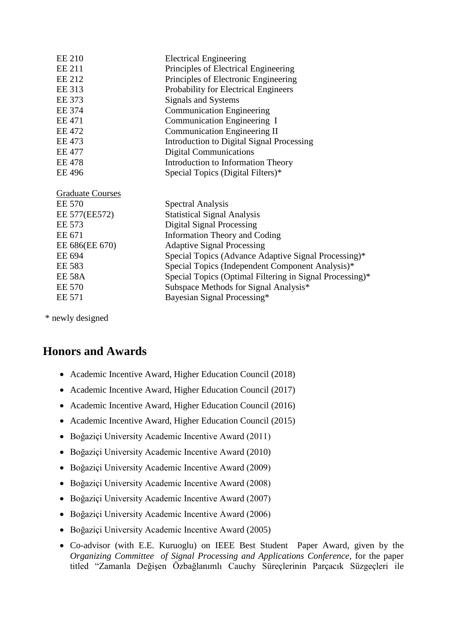| <b>EE 210</b>           | <b>Electrical Engineering</b>                            |
|-------------------------|----------------------------------------------------------|
| <b>EE 211</b>           | Principles of Electrical Engineering                     |
| <b>EE 212</b>           | Principles of Electronic Engineering                     |
| <b>EE 313</b>           | Probability for Electrical Engineers                     |
| EE 373                  | <b>Signals and Systems</b>                               |
| EE 374                  | <b>Communication Engineering</b>                         |
| <b>EE 471</b>           | Communication Engineering I                              |
| <b>EE 472</b>           | <b>Communication Engineering II</b>                      |
| <b>EE 473</b>           | Introduction to Digital Signal Processing                |
| <b>EE 477</b>           | <b>Digital Communications</b>                            |
| <b>EE 478</b>           | Introduction to Information Theory                       |
| <b>EE 496</b>           | Special Topics (Digital Filters)*                        |
|                         |                                                          |
| <b>Graduate Courses</b> |                                                          |
| <b>EE 570</b>           | <b>Spectral Analysis</b>                                 |
| EE 577(EE572)           | <b>Statistical Signal Analysis</b>                       |
| <b>EE 573</b>           | <b>Digital Signal Processing</b>                         |
| EE 671                  | Information Theory and Coding                            |
| EE 686(EE 670)          | <b>Adaptive Signal Processing</b>                        |
| EE 694                  | Special Topics (Advance Adaptive Signal Processing)*     |
| <b>EE 583</b>           | Special Topics (Independent Component Analysis)*         |
| <b>EE 58A</b>           |                                                          |
|                         | Special Topics (Optimal Filtering in Signal Processing)* |
| <b>EE 570</b>           | Subspace Methods for Signal Analysis*                    |
| EE 571                  | Bayesian Signal Processing*                              |

\* newly designed

## **Honors and Awards**

- Academic Incentive Award, Higher Education Council (2018)
- Academic Incentive Award, Higher Education Council (2017)
- Academic Incentive Award, Higher Education Council (2016)
- Academic Incentive Award, Higher Education Council (2015)
- Boğaziçi University Academic Incentive Award (2011)
- Boğaziçi University Academic Incentive Award (2010)
- Boğaziçi University Academic Incentive Award (2009)
- Boğaziçi University Academic Incentive Award (2008)
- Boğaziçi University Academic Incentive Award (2007)
- Boğaziçi University Academic Incentive Award (2006)
- Boğaziçi University Academic Incentive Award (2005)
- Co-advisor (with E.E. Kuruoglu) on IEEE Best Student Paper Award, given by the *Organizing Committee of Signal Processing and Applications Conference*, for the paper titled "Zamanla Değişen Özbağlanımlı Cauchy Süreçlerinin Parçacık Süzgeçleri ile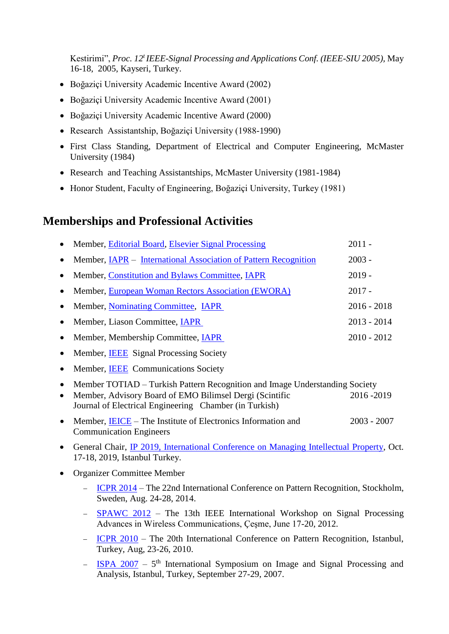Kestirimi", *Proc. 12<sup>t</sup>IEEE-Signal Processing and Applications Conf. (IEEE-SIU 2005),* May 16-18, 2005, Kayseri, Turkey.

- Boğaziçi University Academic Incentive Award (2002)
- Boğaziçi University Academic Incentive Award (2001)
- Boğaziçi University Academic Incentive Award (2000)
- Research Assistantship, Boğaziçi University (1988-1990)
- First Class Standing, Department of Electrical and Computer Engineering, McMaster University (1984)
- Research and Teaching Assistantships, McMaster University (1981-1984)
- Honor Student, Faculty of Engineering, Boğaziçi University, Turkey (1981)

### **Memberships and Professional Activities**

|           | Member, Editorial Board, Elsevier Signal Processing                                                               | $2011 -$      |
|-----------|-------------------------------------------------------------------------------------------------------------------|---------------|
| $\bullet$ | Member, <u>IAPR</u> – International Association of Pattern Recognition                                            | $2003 -$      |
|           | Member, Constitution and Bylaws Committee, IAPR                                                                   | $2019 -$      |
| $\bullet$ | Member, European Woman Rectors Association (EWORA)                                                                | $2017 -$      |
| $\bullet$ | Member, Nominating Committee, IAPR                                                                                | $2016 - 2018$ |
| $\bullet$ | Member, Liason Committee, IAPR                                                                                    | $2013 - 2014$ |
| $\bullet$ | Member, Membership Committee, <i>IAPR</i>                                                                         | $2010 - 2012$ |
| $\bullet$ | Member, IEEE Signal Processing Society                                                                            |               |
| $\bullet$ | Member, <b>IEEE</b> Communications Society                                                                        |               |
| $\bullet$ | Member TOTIAD – Turkish Pattern Recognition and Image Understanding Society                                       |               |
| $\bullet$ | Member, Advisory Board of EMO Bilimsel Dergi (Scintific<br>Journal of Electrical Engineering Chamber (in Turkish) | 2016 - 2019   |
| $\bullet$ | Member, IEICE – The Institute of Electronics Information and<br><b>Communication Engineers</b>                    | $2003 - 2007$ |
|           |                                                                                                                   |               |

- General Chair, IP 2019, International [Conference on Managing Intellectual Property,](http://www.ipconference.boun.edu.tr/ipconference-2019/?p=register4071) Oct. 17-18, 2019, Istanbul Turkey.
- Organizer Committee Member
	- [ICPR 2014](http://www.icpr2014.org/) The 22nd International Conference on Pattern Recognition, Stockholm, Sweden, Aug. 24-28, 2014.
	- [SPAWC 2012](http://www.spawc2012.org/en/default.asp) The 13th IEEE International Workshop on Signal Processing Advances in Wireless Communications, Çeşme, June 17-20, 2012.
	- [ICPR 2010](http://www.icpr2010.org/) The 20th International Conference on Pattern Recognition, Istanbul, Turkey, Aug, 23-26, 2010.
	- $\frac{1}{15P\text{A }2007}$  5<sup>th</sup> International Symposium on Image and Signal Processing and Analysis, Istanbul, Turkey, September 27-29, 2007.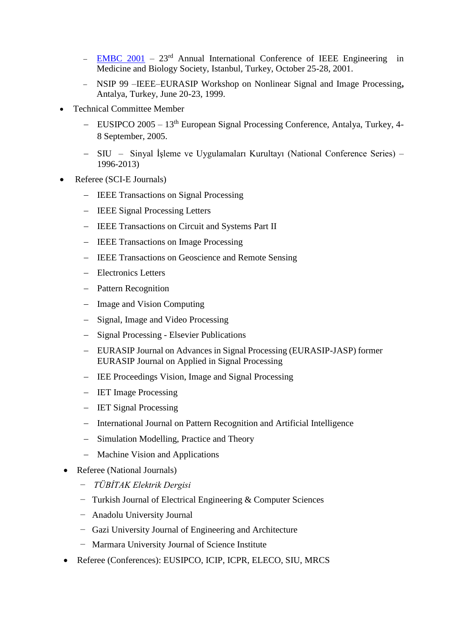- [EMBC 2001](http://embc2001istanbul.bme.boun.edu.tr/)  $23<sup>rd</sup>$  Annual International Conference of IEEE Engineering in Medicine and Biology Society, Istanbul, Turkey, October 25-28, 2001.
- NSIP 99 –IEEE–EURASIP Workshop on Nonlinear Signal and Image Processing**,**  Antalya, Turkey, June 20-23, 1999.
- Technical Committee Member
	- $-$  [EUSIPCO 2005](http://www.eusipco2005.org/) 13<sup>th</sup> European Signal Processing Conference, Antalya, Turkey, 4-8 September, 2005.
	- SIU Sinyal İşleme ve Uygulamaları Kurultayı (National Conference Series) 1996-2013)
- Referee (SCI-E Journals)
	- IEEE Transactions on Signal Processing
	- IEEE Signal Processing Letters
	- IEEE Transactions on Circuit and Systems Part II
	- IEEE Transactions on Image Processing
	- IEEE Transactions on Geoscience and Remote Sensing
	- Electronics Letters
	- Pattern Recognition
	- Image and Vision Computing
	- Signal, Image and Video Processing
	- Signal Processing Elsevier Publications
	- EURASIP Journal on Advances in Signal Processing (EURASIP-JASP) former EURASIP Journal on Applied in Signal Processing
	- IEE Proceedings Vision, Image and Signal Processing
	- IET Image Processing
	- IET Signal Processing
	- International Journal on Pattern Recognition and Artificial Intelligence
	- Simulation Modelling, Practice and Theory
	- Machine Vision and Applications
- Referee (National Journals)
	- − *TÜBİTAK Elektrik Dergisi*
	- − Turkish Journal of Electrical Engineering & Computer Sciences
	- − Anadolu University Journal
	- − Gazi University Journal of Engineering and Architecture
	- − Marmara University Journal of Science Institute
- Referee (Conferences): EUSIPCO, ICIP, ICPR, ELECO, SIU, MRCS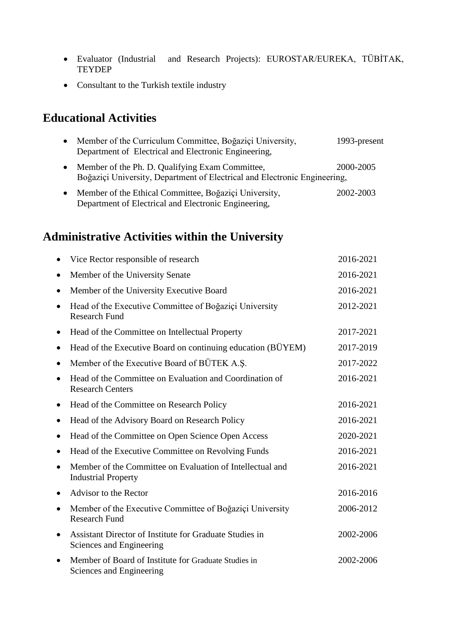- Evaluator (Industrial and Research Projects): EUROSTAR/EUREKA, TÜBİTAK, **TEYDEP**
- Consultant to the Turkish textile industry

# **Educational Activities**

| Member of the Curriculum Committee, Boğaziçi University,<br>Department of Electrical and Electronic Engineering,             | 1993-present |
|------------------------------------------------------------------------------------------------------------------------------|--------------|
| Member of the Ph. D. Qualifying Exam Committee,<br>Boğaziçi University, Department of Electrical and Electronic Engineering, | 2000-2005    |
| Member of the Ethical Committee, Boğaziçi University,<br>Department of Electrical and Electronic Engineering,                | 2002-2003    |

# **Administrative Activities within the University**

|           | Vice Rector responsible of research                                                     | 2016-2021 |
|-----------|-----------------------------------------------------------------------------------------|-----------|
| $\bullet$ | Member of the University Senate                                                         | 2016-2021 |
| $\bullet$ | Member of the University Executive Board                                                | 2016-2021 |
|           | Head of the Executive Committee of Boğaziçi University<br><b>Research Fund</b>          | 2012-2021 |
| ٠         | Head of the Committee on Intellectual Property                                          | 2017-2021 |
| ٠         | Head of the Executive Board on continuing education (BÜYEM)                             | 2017-2019 |
| $\bullet$ | Member of the Executive Board of BÜTEK A.Ş.                                             | 2017-2022 |
| $\bullet$ | Head of the Committee on Evaluation and Coordination of<br><b>Research Centers</b>      | 2016-2021 |
| $\bullet$ | Head of the Committee on Research Policy                                                | 2016-2021 |
| $\bullet$ | Head of the Advisory Board on Research Policy                                           | 2016-2021 |
| $\bullet$ | Head of the Committee on Open Science Open Access                                       | 2020-2021 |
| $\bullet$ | Head of the Executive Committee on Revolving Funds                                      | 2016-2021 |
|           | Member of the Committee on Evaluation of Intellectual and<br><b>Industrial Property</b> | 2016-2021 |
|           | Advisor to the Rector                                                                   | 2016-2016 |
| $\bullet$ | Member of the Executive Committee of Boğaziçi University<br><b>Research Fund</b>        | 2006-2012 |
| $\bullet$ | Assistant Director of Institute for Graduate Studies in<br>Sciences and Engineering     | 2002-2006 |
|           | Member of Board of Institute for Graduate Studies in<br>Sciences and Engineering        | 2002-2006 |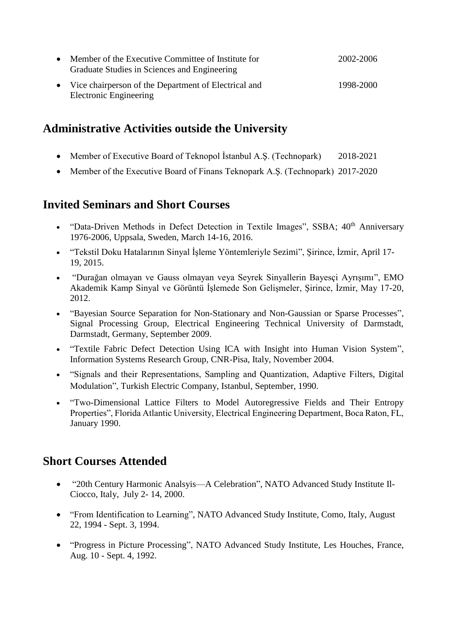| $\bullet$ | Member of the Executive Committee of Institute for<br>Graduate Studies in Sciences and Engineering | 2002-2006 |
|-----------|----------------------------------------------------------------------------------------------------|-----------|
|           | • Vice chairperson of the Department of Electrical and<br>Electronic Engineering                   | 1998-2000 |

### **Administrative Activities outside the University**

- Member of Executive Board of Teknopol İstanbul A.Ş. (Technopark) 2018-2021
- Member of the Executive Board of Finans Teknopark A.S. (Technopark) 2017-2020

### **Invited Seminars and Short Courses**

- "Data-Driven Methods in Defect Detection in Textile Images", SSBA;  $40<sup>th</sup>$  Anniversary 1976-2006, Uppsala, Sweden, March 14-16, 2016.
- "Tekstil Doku Hatalarının Sinyal İşleme Yöntemleriyle Sezimi", Şirince, İzmir, April 17- 19, 2015.
- "Durağan olmayan ve Gauss olmayan veya Seyrek Sinyallerin Bayesçi Ayrışımı", EMO Akademik Kamp Sinyal ve Görüntü İşlemede Son Gelişmeler, Şirince, İzmir, May 17-20, 2012.
- "Bayesian Source Separation for Non-Stationary and Non-Gaussian or Sparse Processes", Signal Processing Group, Electrical Engineering Technical University of Darmstadt, Darmstadt, Germany, September 2009.
- "Textile Fabric Defect Detection Using ICA with Insight into Human Vision System", Information Systems Research Group, CNR-Pisa, Italy, November 2004.
- "Signals and their Representations, Sampling and Quantization, Adaptive Filters, Digital Modulation", Turkish Electric Company, Istanbul, September, 1990.
- "Two-Dimensional Lattice Filters to Model Autoregressive Fields and Their Entropy Properties", Florida Atlantic University, Electrical Engineering Department, Boca Raton, FL, January 1990.

## **Short Courses Attended**

- "20th Century Harmonic Analsyis—A Celebration", NATO Advanced Study Institute Il-Ciocco, Italy, July 2- 14, 2000.
- "From Identification to Learning", NATO Advanced Study Institute, Como, Italy, August 22, 1994 - Sept. 3, 1994.
- "Progress in Picture Processing", NATO Advanced Study Institute, Les Houches, France, Aug. 10 - Sept. 4, 1992.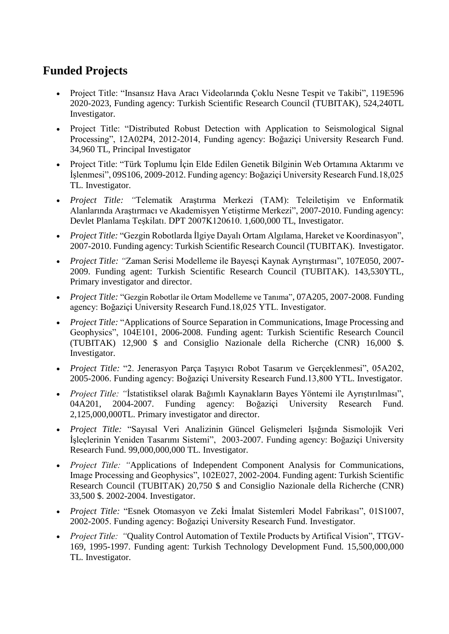# **Funded Projects**

- Project Title: "Insansız Hava Aracı Videolarında Çoklu Nesne Tespit ve Takibi", 119E596 2020-2023, Funding agency: Turkish Scientific Research Council (TUBITAK), 524,240TL Investigator.
- Project Title: "Distributed Robust Detection with Application to Seismological Signal Processing", 12A02P4, 2012-2014, Funding agency: Boğaziçi University Research Fund. 34,960 TL, Principal Investigator
- Project Title: "Türk Toplumu İçin Elde Edilen Genetik Bilginin Web Ortamına Aktarımı ve İşlenmesi", 09S106, 2009-2012. Funding agency: Boğaziçi University Research Fund.18,025 TL. Investigator.
- *Project Title: "*Telematik Araştırma Merkezi (TAM): Teleiletişim ve Enformatik Alanlarında Araştırmacı ve Akademisyen Yetiştirme Merkezi", 2007-2010. Funding agency: Devlet Planlama Teşkilatı. DPT 2007K120610. 1,600,000 TL, Investigator.
- *Project Title:* "Gezgin Robotlarda İlgiye Dayalı Ortam Algılama, Hareket ve Koordinasyon", 2007-2010. Funding agency: Turkish Scientific Research Council (TUBITAK). Investigator.
- *Project Title: "*Zaman Serisi Modelleme ile Bayesçi Kaynak Ayrıştırması", 107E050, 2007- 2009. Funding agent: Turkish Scientific Research Council (TUBITAK). 143,530YTL, Primary investigator and director.
- *Project Title:* "Gezgin Robotlar ile Ortam Modelleme ve Tanıma", 07A205, 2007-2008. Funding agency: Boğaziçi University Research Fund.18,025 YTL. Investigator.
- *Project Title:* "Applications of Source Separation in Communications, Image Processing and Geophysics", 104E101, 2006-2008. Funding agent: Turkish Scientific Research Council (TUBITAK) 12,900 \$ and Consiglio Nazionale della Richerche (CNR) 16,000 \$. Investigator.
- *Project Title:* "2. Jenerasyon Parça Taşıyıcı Robot Tasarım ve Gerçeklenmesi", 05A202, 2005-2006. Funding agency: Boğaziçi University Research Fund.13,800 YTL. Investigator.
- *Project Title: "*İstatistiksel olarak Bağımlı Kaynakların Bayes Yöntemi ile Ayrıştırılması", 04A201, 2004-2007. Funding agency: Boğaziçi University Research Fund. 2,125,000,000TL. Primary investigator and director.
- *Project Title:* "Sayısal Veri Analizinin Güncel Gelişmeleri Işığında Sismolojik Veri İşleçlerinin Yeniden Tasarımı Sistemi", 2003-2007. Funding agency: Boğaziçi University Research Fund. 99,000,000,000 TL. Investigator.
- *Project Title: "*Applications of Independent Component Analysis for Communications, Image Processing and Geophysics", 102E027, 2002-2004. Funding agent: Turkish Scientific Research Council (TUBITAK) 20,750 \$ and Consiglio Nazionale della Richerche (CNR) 33,500 \$. 2002-2004. Investigator.
- *Project Title:* "Esnek Otomasyon ve Zeki İmalat Sistemleri Model Fabrikası", 01S1007, 2002-2005. Funding agency: Boğaziçi University Research Fund. Investigator.
- *Project Title: "*Quality Control Automation of Textile Products by Artifical Vision", TTGV-169, 1995-1997. Funding agent: Turkish Technology Development Fund. 15,500,000,000 TL. Investigator.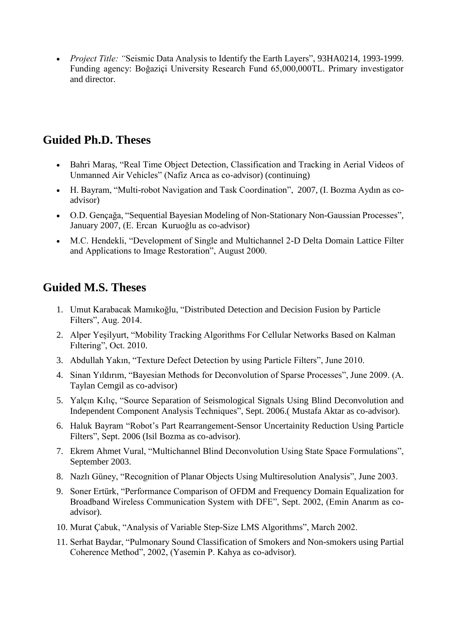*Project Title: "*Seismic Data Analysis to Identify the Earth Layers", 93HA0214, 1993-1999. Funding agency: Boğaziçi University Research Fund 65,000,000TL. Primary investigator and director.

# **Guided Ph.D. Theses**

- Bahri Maraş, "Real Time Object Detection, Classification and Tracking in Aerial Videos of Unmanned Air Vehicles" (Nafiz Arıca as co-advisor) (continuing)
- H. Bayram, "Multi-robot Navigation and Task Coordination", 2007, (I. Bozma Aydın as coadvisor)
- O.D. Gençağa, "Sequential Bayesian Modeling of Non-Stationary Non-Gaussian Processes", January 2007, (E. Ercan Kuruoğlu as co-advisor)
- M.C. Hendekli, "Development of Single and Multichannel 2-D Delta Domain Lattice Filter and Applications to Image Restoration", August 2000.

# **Guided M.S. Theses**

- 1. Umut Karabacak Mamıkoğlu, "Distributed Detection and Decision Fusion by Particle Filters", Aug. 2014.
- 2. Alper Yeşilyurt, "Mobility Tracking Algorithms For Cellular Networks Based on Kalman Fıltering", Oct. 2010.
- 3. Abdullah Yakın, "Texture Defect Detection by using Particle Filters", June 2010.
- 4. Sinan Yıldırım, "Bayesian Methods for Deconvolution of Sparse Processes", June 2009. (A. Taylan Cemgil as co-advisor)
- 5. Yalçın Kılıç, "Source Separation of Seismological Signals Using Blind Deconvolution and Independent Component Analysis Techniques", Sept. 2006.( Mustafa Aktar as co-advisor).
- 6. Haluk Bayram "Robot's Part Rearrangement-Sensor Uncertainity Reduction Using Particle Filters", Sept. 2006 (Isil Bozma as co-advisor).
- 7. Ekrem Ahmet Vural, "Multichannel Blind Deconvolution Using State Space Formulations", September 2003.
- 8. Nazlı Güney, "Recognition of Planar Objects Using Multiresolution Analysis", June 2003.
- 9. Soner Ertürk, "Performance Comparison of OFDM and Frequency Domain Equalization for Broadband Wireless Communication System with DFE", Sept. 2002, (Emin Anarım as coadvisor).
- 10. Murat Çabuk, "Analysis of Variable Step-Size LMS Algorithms", March 2002.
- 11. Serhat Baydar, "Pulmonary Sound Classification of Smokers and Non-smokers using Partial Coherence Method", 2002, (Yasemin P. Kahya as co-advisor).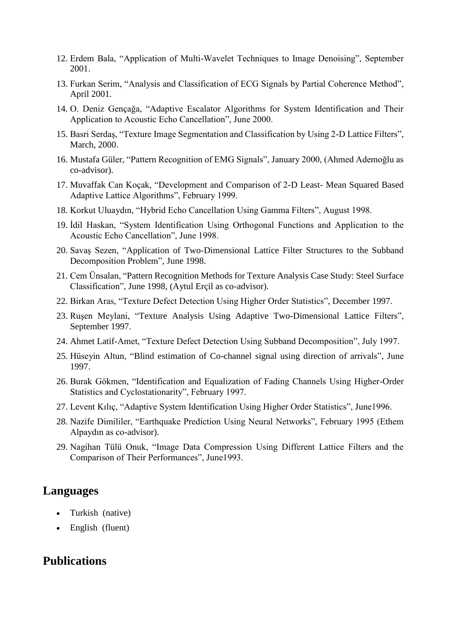- 12. Erdem Bala, "Application of Multi-Wavelet Techniques to Image Denoising", September 2001.
- 13. Furkan Serim, "Analysis and Classification of ECG Signals by Partial Coherence Method", April 2001.
- 14. O. Deniz Gençağa, "Adaptive Escalator Algorithms for System Identification and Their Application to Acoustic Echo Cancellation", June 2000.
- 15. Basri Serdaş, "Texture Image Segmentation and Classification by Using 2-D Lattice Filters", March, 2000.
- 16. Mustafa Güler, "Pattern Recognition of EMG Signals", January 2000, (Ahmed Ademoğlu as co-advisor).
- 17. Muvaffak Can Koçak, "Development and Comparison of 2-D Least- Mean Squared Based Adaptive Lattice Algorithms", February 1999.
- 18. Korkut Uluaydın, "Hybrid Echo Cancellation Using Gamma Filters", August 1998.
- 19. İdil Haskan, "System Identification Using Orthogonal Functions and Application to the Acoustic Echo Cancellation", June 1998.
- 20. Savaş Sezen, "Application of Two-Dimensional Lattice Filter Structures to the Subband Decomposition Problem", June 1998.
- 21. Cem Ünsalan, "Pattern Recognition Methods for Texture Analysis Case Study: Steel Surface Classification", June 1998, (Aytul Erçil as co-advisor).
- 22. Birkan Aras, "Texture Defect Detection Using Higher Order Statistics", December 1997.
- 23. Ruşen Meylani, "Texture Analysis Using Adaptive Two-Dimensional Lattice Filters", September 1997.
- 24. Ahmet Latif-Amet, "Texture Defect Detection Using Subband Decomposition", July 1997.
- 25. Hüseyin Altun, "Blind estimation of Co-channel signal using direction of arrivals", June 1997.
- 26. Burak Gökmen, "Identification and Equalization of Fading Channels Using Higher-Order Statistics and Cyclostationarity", February 1997.
- 27. Levent Kılıç, "Adaptive System Identification Using Higher Order Statistics", June1996.
- 28. Nazife Dimililer, "Earthquake Prediction Using Neural Networks", February 1995 (Ethem Alpaydın as co-advisor).
- 29. Nagihan Tülü Onuk, "Image Data Compression Using Different Lattice Filters and the Comparison of Their Performances", June1993.

#### **Languages**

- Turkish (native)
- English (fluent)

### **Publications**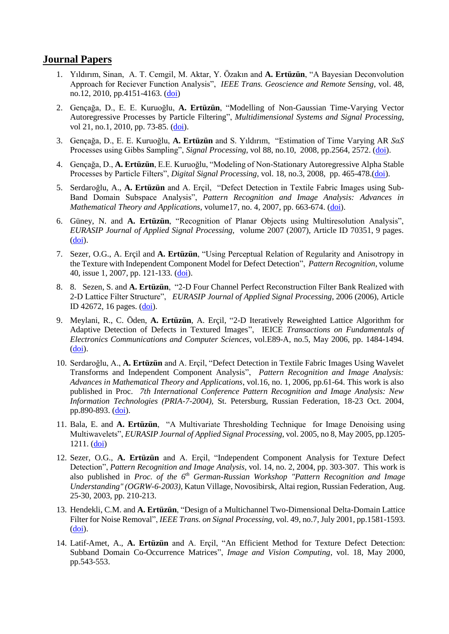#### **Journal Papers**

- 1. Yıldırım, Sinan, A. T. Cemgil*,* M. Aktar, Y. Özakın and **A. Ertüzün**, "A Bayesian Deconvolution Approach for Reciever Function Analysis", *IEEE Trans. Geoscience and Remote Sensing,* vol. 48, no.12, 2010, pp.4151-4163. [\(doi\)](http://dx.doi.org/10.1109/TGRS.2010.2092635)
- 2. Gençağa, D., E. E. Kuruoğlu, **A. Ertüzün**, ["Modelling of Non-Gaussian Time-Varying Vector](http://dx.doi.org/10.1007/s11045-009-0081-8)  [Autoregressive Processes by Particle Filtering"](http://dx.doi.org/10.1007/s11045-009-0081-8), *Multidimensional Systems and Signal Processing*, vol 21, no.1, 2010, pp. 73-85. [\(doi\)](http://dx.doi.org/10.1007/s11045-009-0081-8).
- 3. Gençağa, D., E. E. Kuruoğlu, **A. Ertüzün** and S. Yıldırım, "Estimation of Time Varying AR *SαS* Processes using Gibbs Sampling", *Signal Processing*, vol 88, no.10, 2008, pp.2564, 2572. [\(doi\)](http://dx.doi.org/10.1016/j.sigpro.2008.03.021).
- 4. Gençağa, D., **A. Ertüzün**, E.E. Kuruoğlu, "Modeling of Non-Stationary Autoregressive Alpha Stable Processes by Particle Filters", *Digital Signal Processing*, vol. 18, no.3, 2008, pp. 465-478.[\(doi\)](http://dx.doi.org/10.1016/j.dsp.2007.04.011).
- 5. Serdaroğlu, A., **A. Ertüzün** and A. Erçil, "Defect Detection in Textile Fabric Images using Sub-Band Domain Subspace Analysis", *Pattern Recognition and Image Analysis: Advances in Mathematical Theory and Applications*, volume17, no. 4, 2007, pp. 663-674. [\(doi\)](http://dx.doi.org/10.1134/S105466180704027X).
- 6. Güney, N. and **A. Ertüzün**, "Recognition of Planar Objects using Multiresolution Analysis", *EURASIP Journal of Applied Signal Processing,* volume 2007 (2007), Article ID 70351, 9 pages. [\(doi\)](http://dx.doi.org/10.1155/2007/70351).
- 7. Sezer, O.G., A. Erçil and **A. Ertüzün**, "Using Perceptual Relation of Regularity and Anisotropy in the Texture with Independent Component Model for Defect Detection", *Pattern Recognition*, volume 40, issue 1, 2007, pp. 121-133. [\(doi\)](http://dx.doi.org/10.1016/j.patcog.2006.05.023).
- 8. 8. Sezen, S. and **A. Ertüzün**, "2-D Four Channel Perfect Reconstruction Filter Bank Realized with 2-D Lattice Filter Structure", *EURASIP Journal of Applied Signal Processing*, 2006 (2006), Article ID 42672, 16 pages. [\(doi\)](http://dx.doi.org/10.1155/ASP/2006/42672).
- 9. Meylani, R., C. Öden, **A. Ertüzün**, A. Erçil, "2-D Iteratively Reweighted Lattice Algorithm for Adaptive Detection of Defects in Textured Images", IEICE *Transactions on Fundamentals of Electronics Communications and Computer Sciences*, vol.E89-A, no.5, May 2006, pp. 1484-1494.  $(doi)$ .
- 10. Serdaroğlu, A., **A. Ertüzün** and A. Erçil, "Defect Detection in Textile Fabric Images Using Wavelet Transforms and Independent Component Analysis", *Pattern Recognition and Image Analysis: Advances in Mathematical Theory and Applications*, vol.16, no. 1, 2006, pp.61-64. This work is also published in Proc. *7th International Conference Pattern Recognition and Image Analysis: New Information Technologies (PRIA-7-2004),* St. Petersburg, Russian Federation, 18-23 Oct. 2004, pp.890-893. [\(doi\)](http://dx.doi.org/10.1134/S1054661806010196).
- 11. Bala, E. and **A. Ertüzün**, "A Multivariate Thresholding Technique for Image Denoising using Multiwavelets", *EURASIP Journal of Applied Signal Processing,* vol. 2005, no 8, May 2005, pp.1205- 1211. [\(doi\)](http://dx.doi.org/10.1155/ASP.2005.1205)
- 12. Sezer, O.G., **A. Ertüzün** and A. Erçil, "Independent Component Analysis for Texture Defect Detection", *Pattern Recognition and Image Analysis*, vol. 14, no. 2, 2004, pp. 303-307. This work is also published in *Proc. of the 6th German-Russian Workshop "Pattern Recognition and Image Understanding" (OGRW-6-2003),* Katun Village, Novosibirsk, Altai region, Russian Federation, Aug. 25-30, 2003, pp. 210-213.
- 13. Hendekli, C.M. and **A. Ertüzün**, "Design of a Multichannel Two-Dimensional Delta-Domain Lattice Filter for Noise Removal", *IEEE Trans. on Signal Processing,* vol. 49, no.7, July 2001, pp.1581-1593.  $(doi)$ .
- 14. Latif-Amet, A., **A. Ertüzün** and A. Erçil, "An Efficient Method for Texture Defect Detection: Subband Domain Co-Occurrence Matrices", *Image and Vision Computing*, vol. 18, May 2000, pp.543-553.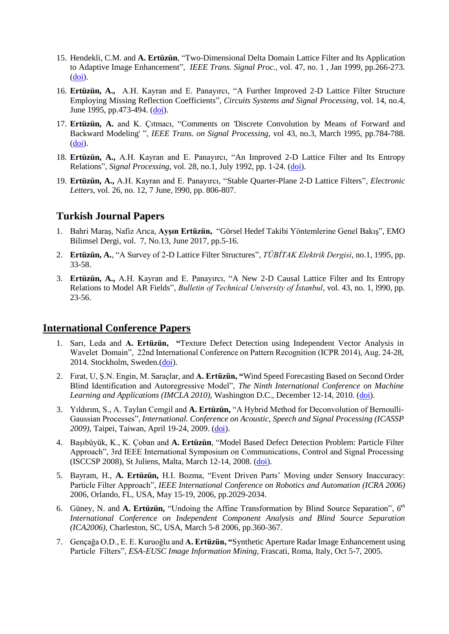- 15. Hendekli, C.M. and **A. Ertüzün**, "Two-Dimensional Delta Domain Lattice Filter and Its Application to Adaptive Image Enhancement", *IEEE Trans. Signal Proc.*, vol. 47, no. 1 , Jan 1999, pp.266-273. [\(doi\)](http://dx.doi.org/10.1109/78.738269).
- 16. **Ertüzün, A.,** A.H. Kayran and E. Panayırcı, "A Further Improved 2-D Lattice Filter Structure Employing Missing Reflection Coefficients", *Circuits Systems and Signal Processing*, vol. 14, no.4, June 1995, pp.473-494. [\(doi\)](http://dx.doi.org/10.1007/BF01260333).
- 17. **Ertüzün, A.** and K. Çıtmacı, "Comments on 'Discrete Convolution by Means of Forward and Backward Modeling' ", *IEEE Trans. on Signal Processing*, vol 43, no.3, March 1995, pp.784-788. [\(doi\)](http://dx.doi.org/10.1109/78.370636).
- 18. **Ertüzün, A.,** A.H. Kayran and E. Panayırcı, "An Improved 2-D Lattice Filter and Its Entropy Relations", *Signal Processing*, vol. 28, no.1, July 1992, pp. 1-24. [\(doi\)](http://dx.doi.org/10.1016/0165-1684(92)90062-2).
- 19. **Ertüzün, A.,** A.H. Kayran and E. Panayırcı, "Stable Quarter-Plane 2-D Lattice Filters", *Electronic Letters*, vol. 26, no. 12, 7 June, l990, pp. 806-807.

#### **Turkish Journal Papers**

- 1. Bahri Maraş, Nafiz Arıca, **Ayşın Ertüzün,** "Görsel Hedef Takibi Yöntemlerine Genel Bakış", EMO Bilimsel Dergi, vol. 7, No.13, June 2017, pp.5-16.
- 2. **Ertüzün, A.**, "A Survey of 2-D Lattice Filter Structures", *TÜBİTAK Elektrik Dergisi*, no.1, 1995, pp. 33-58.
- 3. **Ertüzün, A.,** A.H. Kayran and E. Panayırcı, "A New 2-D Causal Lattice Filter and Its Entropy Relations to Model AR Fields", *Bulletin of Technical University of İstanbul*, vol. 43, no. 1, l990, pp. 23-56.

#### **International Conference Papers**

- 1. Sarı, Leda and **A. Ertüzün, "**Texture Defect Detection using Independent Vector Analysis in Wavelet Domain", 22nd International Conference on Pattern Recognition (ICPR 2014), Aug. 24-28, 2014. Stockholm, Sweden.[\(doi\)](http://doi.ieeecomputersociety.org/10.1109/ICPR.2014.290).
- 2. Fırat, U, Ş.N. Engin, M. Saraçlar, and **A. Ertüzün, "**Wind Speed Forecasting Based on Second Order Blind Identification and Autoregressive Model", *The Ninth International Conference on Machine Learning and Applications (IMCLA 2010),* Washington D.C., December 12-14, 2010. [\(doi\)](http://ieeexplore.ieee.org/stamp/stamp.jsp?tp=&arnumber=5708905).
- 3. Yıldırım, S., A. Taylan Cemgil and **A. Ertüzün,** "A Hybrid Method for Deconvolution of Bernoulli-Gaussian Processes", *International. Conference on Acoustic, Speech and Signal Processing (ICASSP 2009)*, Taipei, Taiwan, April 19-24, 2009. [\(doi\)](http://ieeexplore.ieee.org/xpls/abs_all.jsp?arnumber=4960359).
- 4. Başıbüyük, K., K. Çoban and **A. Ertüzün**, "Model Based Defect Detection Problem: Particle Filter Approach", 3rd IEEE International Symposium on Communications, Control and Signal Processing (ISCCSP 2008), St Juliens, Malta, March 12-14, 2008. [\(doi\)](http://ieeexplore.ieee.org/xpls/abs_all.jsp?arnumber=4537248&tag=1).
- 5. Bayram, H., **A. Ertüzün,** H.I. Bozma, "Event Driven Parts' Moving under Sensory Inaccuracy: Particle Filter Approach", *IEEE International Conference on Robotics and Automation (ICRA 2006)* 2006, Orlando, FL, USA, May 15-19, 2006, pp.2029-2034.
- 6. Güney, N. and **A. Ertüzün,** "Undoing the Affine Transformation by Blind Source Separation", *6 th International Conference on Independent Component Analysis and Blind Source Separation (ICA2006)*, Charleston, SC, USA, March 5-8 2006, pp.360-367.
- 7. Gençağa O.D., E. E. Kuruoğlu and **A. Ertüzün, "**Synthetic Aperture Radar Image Enhancement using Particle Filters", *ESA-EUSC Image Information Mining*, Frascati, Roma, Italy, Oct 5-7, 2005.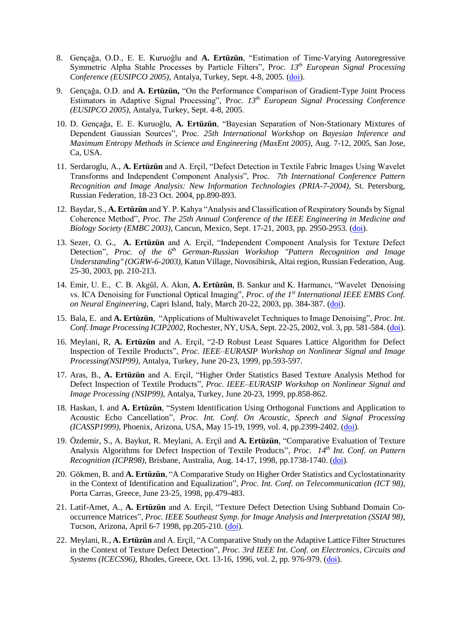- 8. Gençağa, O.D., E. E. Kuruoğlu and **A. Ertüzün**, "Estimation of Time-Varying Autoregressive Symmetric Alpha Stable Processes by Particle Filters", P*roc. 13th European Signal Processing Conference (EUSIPCO 2005),* Antalya, Turkey, Sept. 4-8, 2005. [\(doi\)](http://citeseerx.ist.psu.edu/viewdoc/summary?doi=10.1.1.130.5831).
- 9. Gençağa, O.D. and **A. Ertüzün,** "On the Performance Comparison of Gradient-Type Joint Process Estimators in Adaptive Signal Processing", P*roc. 13th European Signal Processing Conference (EUSIPCO 2005),* Antalya, Turkey, Sept. 4-8, 2005.
- 10. D. Gençağa, E. E. Kuruoğlu, **A. Ertüzün**, "Bayesian Separation of Non-Stationary Mixtures of Dependent Gaussian Sources", Proc. *25th International Workshop on Bayesian Inference and Maximum Entropy Methods in Science and Engineering (MaxEnt 2005)*, Aug. 7-12, 2005, San Jose, Ca, USA.
- 11. Serdaroglu, A., **A. Ertüzün** and A. Erçil, "Defect Detection in Textile Fabric Images Using Wavelet Transforms and Independent Component Analysis", Proc. *7th International Conference Pattern Recognition and Image Analysis: New Information Technologies (PRIA-7-2004),* St. Petersburg, Russian Federation, 18-23 Oct. 2004, pp.890-893.
- 12. Baydar, S., **A. Ertüzün** and Y. P. Kahya "Analysis and Classification of Respiratory Sounds by Signal Coherence Method", *Proc. The 25th Annual Conference of the IEEE Engineering in Medicine and Biology Society (EMBC 2003)*, Cancun, Mexico, Sept. 17-21, 2003, pp. 2950-2953. [\(doi\)](http://dx.doi.org/10.1109/IEMBS.2003.1280537).
- 13. Sezer, O. G., **A. Ertüzün** and A. Erçil, "Independent Component Analysis for Texture Defect Detection", *Proc. of the 6th German-Russian Workshop "Pattern Recognition and Image Understanding" (OGRW-6-2003),* Katun Village, Novosibirsk, Altai region, Russian Federation, Aug. 25-30, 2003, pp. 210-213.
- 14. Emir, U. E., C. B. Akgül, A. Akın, **A. Ertüzün**, B. Sankur and K. Harmancı, "Wavelet Denoising vs. ICA Denoising for Functional Optical Imaging", *Proc. of the 1st International IEEE EMBS Conf. on Neural Engineering*, Capri Island, Italy, March 20-22, 2003, pp. 384-387. [\(doi\)](http://dx.doi.org/10.1109/CNE.2003.1196841).
- 15. Bala, E. and **A. Ertüzün**, "Applications of Multiwavelet Techniques to Image Denoising", *Proc. Int. Conf. Image Processing ICIP2002,* Rochester, NY, USA, Sept. 22-25, 2002, vol. 3, pp. 581-584. [\(doi\)](http://dx.doi.org/10.1109/ICIP.2002.1039037).
- 16. Meylani, R, **A. Ertüzün** and A. Erçil, "2-D Robust Least Squares Lattice Algorithm for Defect Inspection of Textile Products", *Proc. IEEE–EURASIP Workshop on Nonlinear Signal and Image Processing(NSIP99),* Antalya, Turkey, June 20-23, 1999, pp.593-597.
- 17. Aras, B., **A. Ertüzün** and A. Erçil, "Higher Order Statistics Based Texture Analysis Method for Defect Inspection of Textile Products", *Proc. IEEE–EURASIP Workshop on Nonlinear Signal and Image Processing (NSIP99),* Antalya, Turkey, June 20-23, 1999, pp.858-862.
- 18. Haskan, I. and **A. Ertüzün**, "System Identification Using Orthogonal Functions and Application to Acoustic Echo Cancellation", *Proc. Int. Conf. On Acoustic, Speech and Signal Processing (ICASSP1999)*, Phoenix, Arizona, USA, May 15-19, 1999, vol. 4, pp.2399-2402. [\(doi\)](http://dx.doi.org/10.1109/ICASSP.1999.758422).
- 19. Özdemir, S., A. Baykut, R. Meylani, A. Erçil and **A. Ertüzün**, "Comparative Evaluation of Texture Analysis Algorithms for Defect Inspection of Textile Products", *Proc. 14th Int. Conf. on Pattern Recognition (ICPR98)*, Brisbane, Australia, Aug. 14-17, 1998, pp.1738-1740. [\(doi\)](http://dx.doi.org/10.1109/ICPR.1998.712061).
- 20. Gökmen, B. and **A. Ertüzün**, "A Comparative Study on Higher Order Statistics and Cyclostationarity in the Context of Identification and Equalization", *Proc. Int. Conf. on Telecommunication (ICT 98)*, Porta Carras, Greece, June 23-25, 1998, pp.479-483.
- 21. Latif-Amet, A., **A. Ertüzün** and A. Erçil, "Texture Defect Detection Using Subband Domain Cooccurrence Matrices", *Proc. IEEE Southeast Symp. for Image Analysis and Interpretation (SSIAI 98)*, Tucson, Arizona, April 6-7 1998, pp.205-210. [\(doi\)](http://dx.doi.org/10.1109/IAI.1998.666886).
- 22. Meylani, R., **A. Ertüzün** and A. Erçil, "A Comparative Study on the Adaptive Lattice Filter Structures in the Context of Texture Defect Detection", *Proc. 3rd IEEE Int. Conf. on Electronics, Circuits and Systems (ICECS96)*, Rhodes, Greece, Oct. 13-16, 1996, vol. 2, pp. 976-979. [\(doi\)](http://dx.doi.org/10.1109/ICECS.1996.584549).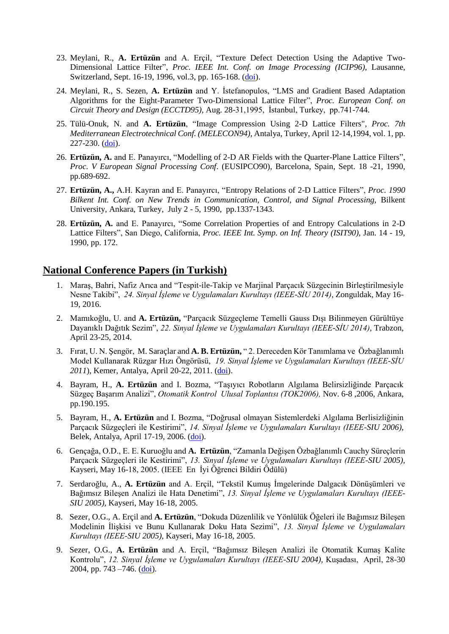- 23. Meylani, R., **A. Ertüzün** and A. Erçil, "Texture Defect Detection Using the Adaptive Two-Dimensional Lattice Filter", *Proc. IEEE Int. Conf. on Image Processing (ICIP96),* Lausanne, Switzerland, Sept. 16-19, 1996, vol.3, pp. 165-168. [\(doi\)](http://dx.doi.org/10.1109/ICIP.1996.560410).
- 24. Meylani, R., S. Sezen, **A. Ertüzün** and Y. İstefanopulos, "LMS and Gradient Based Adaptation Algorithms for the Eight-Parameter Two-Dimensional Lattice Filter", *Proc. European Conf. on Circuit Theory and Design (ECCTD95),* Aug. 28-31,1995, İstanbul, Turkey, pp.741-744.
- 25. Tülü-Onuk, N. and **A. Ertüzün**, "Image Compression Using 2-D Lattice Filters", *Proc. 7th Mediterranean Electrotechnical Conf. (MELECON94),* Antalya, Turkey, April 12-14,1994, vol. 1, pp. 227-230. [\(doi\)](http://dx.doi.org/10.1109/MELCON.1994.381102).
- 26. **Ertüzün, A.** and E. Panayırcı, "Modelling of 2-D AR Fields with the Quarter-Plane Lattice Filters", *Proc. V European Signal Processing Conf*. (EUSIPCO90), Barcelona, Spain, Sept. 18 -21, 1990, pp.689-692.
- 27. **Ertüzün, A.,** A.H. Kayran and E. Panayırcı, "Entropy Relations of 2-D Lattice Filters", *Proc. 1990 Bilkent Int. Conf. on New Trends in Communication, Control, and Signal Processing,* Bilkent University, Ankara, Turkey, July 2 - 5, 1990, pp.1337-1343.
- 28. **Ertüzün, A.** and E. Panayırcı, "Some Correlation Properties of and Entropy Calculations in 2-D Lattice Filters", San Diego, California, *Proc. IEEE Int. Symp. on Inf. Theory (ISIT90),* Jan. 14 - 19, 1990, pp. 172.

#### **National Conference Papers (in Turkish)**

- 1. Maraş, Bahri, Nafiz Arıca and "Tespit-ile-Takip ve Marjinal Parçacık Süzgecinin Birleştirilmesiyle Nesne Takibi", *24. Sinyal İşleme ve Uygulamaları Kurultayı (IEEE-SİU 2014)*, Zonguldak, May 16- 19, 2016.
- 2. Mamıkoğlu, U. and **A. Ertüzün,** "Parçacık Süzgeçleme Temelli Gauss Dışı Bilinmeyen Gürültüye Dayanıklı Dağıtık Sezim", *22. Sinyal İşleme ve Uygulamaları Kurultayı (IEEE-SİU 2014)*, Trabzon, April 23-25, 2014.
- 3. Fırat, U. N. Şengör, M. Saraçlar and **A. B. Ertüzün,** " 2. Dereceden Kör Tanımlama ve Özbağlanımlı Model Kullanarak Rüzgar Hızı Öngörüsü, *19. Sinyal İşleme ve Uygulamaları Kurultayı (IEEE-SİU 2011*), Kemer, Antalya, April 20-22, 2011. [\(doi\)](http://ieeexplore.ieee.org/stamp/stamp.jsp?tp=&arnumber=5929726).
- 4. Bayram, H., **A. Ertüzün** and I. Bozma, "Taşıyıcı Robotların Algılama Belirsizliğinde Parçacık Süzgeç Başarım Analizi", *Otomatik Kontrol Ulusal Toplantısı (TOK2006),* Nov. 6-8 ,2006, Ankara, pp.190.195.
- 5. Bayram, H., **A. Ertüzün** and I. Bozma, "Doğrusal olmayan Sistemlerdeki Algılama Berlisizliğinin Parçacık Süzgeçleri ile Kestirimi", *14. Sinyal İşleme ve Uygulamaları Kurultayı (IEEE-SIU 2006),* Belek, Antalya, April 17-19, 2006. [\(doi\)](http://dx.doi.org/10.1109/SIU.2006.1659715).
- 6. Gençağa, O.D., E. E. Kuruoğlu and **A. Ertüzün**, "Zamanla Değişen Özbağlanımlı Cauchy Süreçlerin Parçacık Süzgeçleri ile Kestirimi", *13. Sinyal İşleme ve Uygulamaları Kurultayı (IEEE-SIU 2005),* Kayseri, May 16-18, 2005. (IEEE En İyi Öğrenci Bildiri Ödülü)
- 7. Serdaroğlu, A., **A. Ertüzün** and A. Erçil, "Tekstil Kumuş İmgelerinde Dalgacık Dönüşümleri ve Bağımsız Bileşen Analizi ile Hata Denetimi", *13. Sinyal İşleme ve Uygulamaları Kurultayı (IEEE-SIU 2005),* Kayseri, May 16-18, 2005.
- 8. Sezer, O.G., A. Erçil and **A. Ertüzün**, "Dokuda Düzenlilik ve Yönlülük Öğeleri ile Bağımsız Bileşen Modelinin İlişkisi ve Bunu Kullanarak Doku Hata Sezimi", *13. Sinyal İşleme ve Uygulamaları Kurultayı (IEEE-SIU 2005),* Kayseri, May 16-18, 2005.
- 9. Sezer, O.G., **A. Ertüzün** and A. Erçil, "Bağımsız Bileşen Analizi ile Otomatik Kumaş Kalite Kontrolu", *12. Sinyal İşleme ve Uygulamaları Kurultayı (IEEE-SIU 2004),* Kuşadası, April, 28-30 2004, pp. 743 –746. [\(doi\)](http://dx.doi.org/10.1109/SIU.2004.1338638).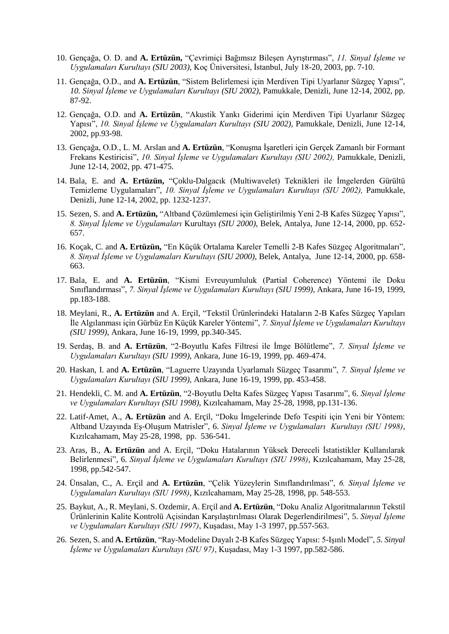- 10. Gençağa, O. D. and **A. Ertüzün,** "Çevrimiçi Bağımsız Bileşen Ayrıştırması", *11. Sinyal İşleme ve Uygulamaları Kurultayı (SIU 2003),* Koç Üniversitesi, İstanbul, July 18-20, 2003, pp. 7-10.
- 11. Gençağa, O.D., and **A. Ertüzün**, "Sistem Belirlemesi için Merdiven Tipi Uyarlanır Süzgeç Yapısı", *10. Sinyal İşleme ve Uygulamaları Kurultayı (SIU 2002),* Pamukkale, Denizli, June 12-14, 2002, pp. 87-92.
- 12. Gençağa, O.D. and **A. Ertüzün**, "Akustik Yankı Giderimi için Merdiven Tipi Uyarlanır Süzgeç Yapısı", *10. Sinyal İşleme ve Uygulamaları Kurultayı (SIU 2002),* Pamukkale, Denizli, June 12-14, 2002, pp.93-98.
- 13. Gençağa, O.D., L. M. Arslan and **A. Ertüzün**, "Konuşma İşaretleri için Gerçek Zamanlı bir Formant Frekans Kestiricisi", *10. Sinyal İşleme ve Uygulamaları Kurultayı (SIU 2002),* Pamukkale, Denizli, June 12-14, 2002, pp. 471-475.
- 14. Bala, E. and **A. Ertüzün,** "Çoklu-Dalgacık (Multiwavelet) Teknikleri ile İmgelerden Gürültü Temizleme Uygulamaları", *10. Sinyal İşleme ve Uygulamaları Kurultayı (SIU 2002),* Pamukkale, Denizli, June 12-14, 2002, pp. 1232-1237.
- 15. Sezen, S. and **A. Ertüzün,** "Altband Çözümlemesi için Geliştirilmiş Yeni 2-B Kafes Süzgeç Yapısı", *8. Sinyal İşleme ve Uygulamaları* Kurultayı *(SIU 2000),* Belek, Antalya, June 12-14, 2000, pp. 652- 657.
- 16. Koçak, C. and **A. Ertüzün,** "En Küçük Ortalama Kareler Temelli 2-B Kafes Süzgeç Algoritmaları", *8. Sinyal İşleme ve Uygulamaları Kurultayı (SIU 2000),* Belek, Antalya, June 12-14, 2000, pp. 658- 663.
- 17. Bala, E. and **A. Ertüzün**, "Kismi Evreuyumluluk (Partial Coherence) Yöntemi ile Doku Sınıflandırması", *7. Sinyal İşleme ve Uygulamaları Kurultayı (SIU 1999)*, Ankara, June 16-19, 1999, pp.183-188.
- 18. Meylani, R., **A. Ertüzün** and A. Erçil, "Tekstil Ürünlerindeki Hataların 2-B Kafes Süzgeç Yapıları İle Algılanması için Gürbüz En Küçük Kareler Yöntemi", *7. Sinyal İşleme ve Uygulamaları Kurultayı (SIU 1999)*, Ankara, June 16-19, 1999, pp.340-345.
- 19. Serdaş, B. and **A. Ertüzün**, "2-Boyutlu Kafes Filtresi ile İmge Bölütleme", *7. Sinyal İşleme ve Uygulamaları Kurultayı (SIU 1999)*, Ankara, June 16-19, 1999, pp. 469-474.
- 20. Haskan, I. and **A. Ertüzün**, "Laguerre Uzayında Uyarlamalı Süzgeç Tasarımı", *7. Sinyal İşleme ve Uygulamaları Kurultayı (SIU 1999)*, Ankara, June 16-19, 1999, pp. 453-458.
- 21. Hendekli, C. M. and **A. Ertüzün**, "2-Boyutlu Delta Kafes Süzgeç Yapısı Tasarımı", 6. *Sinyal İşleme ve Uygulamaları Kurultayı (SIU 1998)*, Kızılcahamam, May 25-28, 1998, pp.131-136.
- 22. Latif-Amet, A., **A. Ertüzün** and A. Erçil, "Doku İmgelerinde Defo Tespiti için Yeni bir Yöntem: Altband Uzayında Eş-Oluşum Matrisler", 6. *Sinyal İşleme ve Uygulamaları Kurultayı (SIU 1998)*, Kızılcahamam, May 25-28, 1998, pp. 536-541.
- 23. Aras, B., **A. Ertüzün** and A. Erçil, "Doku Hatalarının Yüksek Dereceli İstatistikler Kullanılarak Belirlenmesi", 6. *Sinyal İşleme ve Uygulamaları Kurultayı (SIU 1998)*, Kızılcahamam, May 25-28, 1998, pp.542-547.
- 24. Ünsalan, C., A. Erçil and **A. Ertüzün**, "Çelik Yüzeylerin Sınıflandırılması", *6. Sinyal İşleme ve Uygulamaları Kurultayı (SIU 1998)*, Kızılcahamam, May 25-28, 1998, pp. 548-553.
- 25. Baykut, A., R. Meylani, S. Ozdemir, A. Erçil and **A. Ertüzün**, "Doku Analiz Algoritmalarının Tekstil Ürünlerinin Kalite Kontrolü Açisindan Karşılaştırılması Olarak Degerlendirilmesi", 5. *Sinyal İşleme ve Uygulamaları Kurultayı (SIU 1997)*, Kuşadası, May 1-3 1997, pp.557-563.
- 26. Sezen, S. and **A. Ertüzün**, "Ray-Modeline Dayalı 2-B Kafes Süzgeç Yapısı: 5-Işınlı Model", *5. Sinyal İşleme ve Uygulamaları Kurultayı (SIU 97)*, Kuşadası, May 1-3 1997, pp.582-586.